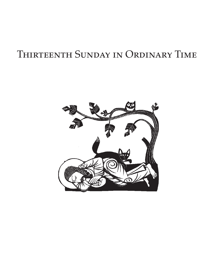# Thirteenth Sunday in Ordinary Time

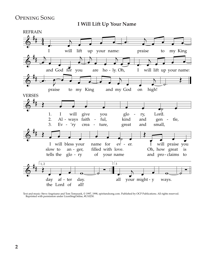# Opening Song

**I Will Lift Up Your Name**



Text and music: Steve Angrisano and Tom Tomaszek, © 1997, 1998, spiritandsong.com. Published by OCP Publications. All rights reserved. Reprinted with permission under LicenSingOnline, #U10230.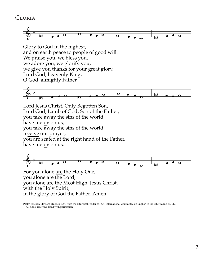# Gloria



Glory to God in the highest, and on earth peace to people of good will. We praise you, we bless you, we adore you, we glorify you, we give you thanks for your great glory, Lord God, heavenly King, O God, almighty Father.



Lord Jesus Christ, Only Begotten Son, Lord God, Lamb of God, Son of the Father, you take away the sins of the world, have mercy on us; you take away the sins of the world, receive our prayer; you are seated at the right hand of the Father, have mercy on us.



For you alone are the Holy One, you alone are the Lord, you alone are the Most High, Jesus Christ, with the Holy Spirit, in the glory of God the Father. Amen.

Psalm tones by Howard Hughes, S.M. from the Liturgical Psalter © 1994, International Committee on English in the Liturgy, Inc. (ICEL). All rights reserved. Used with permission.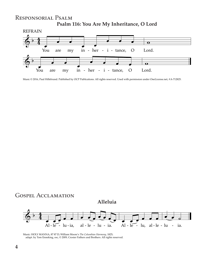### Responsorial Psalm **Psalm 116: You Are My Inheritance, O Lord**



Music © 2016, Paul Hillebrand. Published by OCP Publications. All rights reserved. Used with permission under OneLicense.net, #A-712825.



Music: HOLY MANNA, 87 87 D; William Moore's *The Columbian Harmony*, 1825; adapt. by Tom Enneking, osc, © 2009, Crosier Fathers and Brothers. All rights reserved.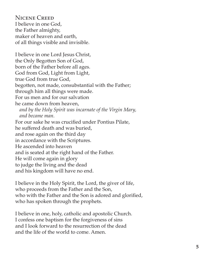Nicene Creed I believe in one God, the Father almighty, maker of heaven and earth, of all things visible and invisible.

I believe in one Lord Jesus Christ, the Only Begotten Son of God, born of the Father before all ages. God from God, Light from Light, true God from true God, begotten, not made, consubstantial with the Father; through him all things were made. For us men and for our salvation he came down from heaven, *and by the Holy Spirit was incarnate of the Virgin Mary, and became man.* For our sake he was crucified under Pontius Pilate, he suffered death and was buried, and rose again on the third day in accordance with the Scriptures. He ascended into heaven and is seated at the right hand of the Father. He will come again in glory to judge the living and the dead and his kingdom will have no end.

I believe in the Holy Spirit, the Lord, the giver of life, who proceeds from the Father and the Son, who with the Father and the Son is adored and glorified, who has spoken through the prophets.

I believe in one, holy, catholic and apostolic Church. I confess one baptism for the forgiveness of sins and I look forward to the resurrection of the dead and the life of the world to come. Amen.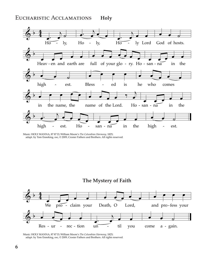#### Eucharistic Acclamations **Holy**



Music: HOLY MANNA, 87 87 D; William Moore's *The Columbian Harmony*, 1825; adapt. by Tom Enneking, osc, © 2009, Crosier Fathers and Brothers. All rights reserved.





Music: HOLY MANNA, 87 87 D; William Moore's *The Columbian Harmony*, 1825; adapt. by Tom Enneking, osc, © 2009, Crosier Fathers and Brothers. All rights reserved.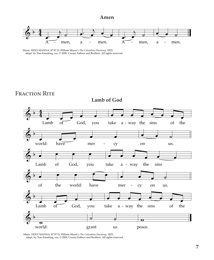#### **Amen**









Music: HOLY MANNA, 87 87 D; William Moore's *The Columbian Harmony*, 1825; adapt. by Tom Enneking, osc, © 2009, Crosier Fathers and Brothers. All rights reserved.